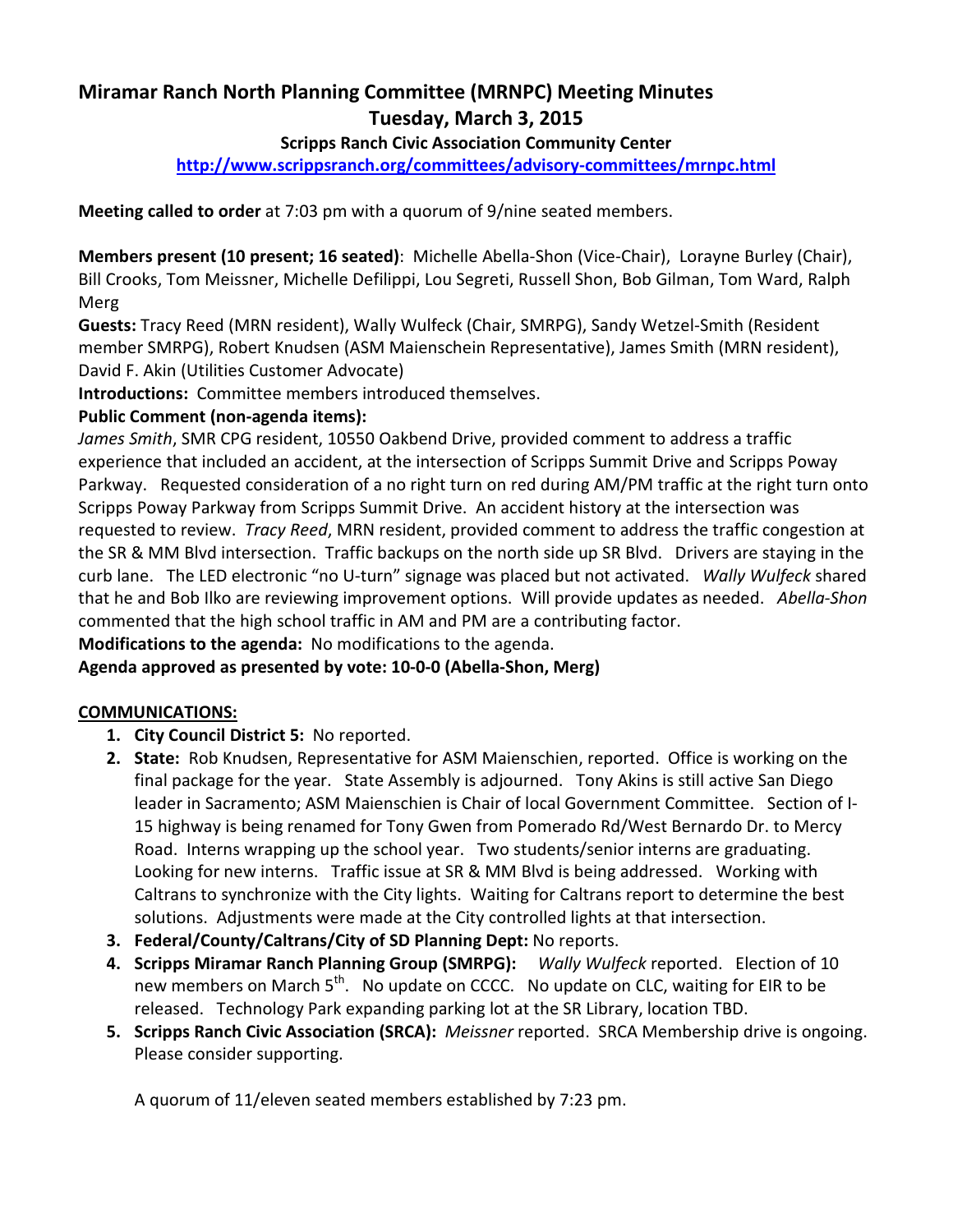# Miramar Ranch North Planning Committee (MRNPC) Meeting Minutes Tuesday, March 3, 2015

#### Scripps Ranch Civic Association Community Center

http://www.scrippsranch.org/committees/advisory-committees/mrnpc.html

Meeting called to order at 7:03 pm with a quorum of 9/nine seated members.

Members present (10 present; 16 seated): Michelle Abella-Shon (Vice-Chair), Lorayne Burley (Chair), Bill Crooks, Tom Meissner, Michelle Defilippi, Lou Segreti, Russell Shon, Bob Gilman, Tom Ward, Ralph Merg

Guests: Tracy Reed (MRN resident), Wally Wulfeck (Chair, SMRPG), Sandy Wetzel-Smith (Resident member SMRPG), Robert Knudsen (ASM Maienschein Representative), James Smith (MRN resident), David F. Akin (Utilities Customer Advocate)

Introductions: Committee members introduced themselves.

### Public Comment (non-agenda items):

James Smith, SMR CPG resident, 10550 Oakbend Drive, provided comment to address a traffic experience that included an accident, at the intersection of Scripps Summit Drive and Scripps Poway Parkway. Requested consideration of a no right turn on red during AM/PM traffic at the right turn onto Scripps Poway Parkway from Scripps Summit Drive. An accident history at the intersection was requested to review. Tracy Reed, MRN resident, provided comment to address the traffic congestion at the SR & MM Blvd intersection. Traffic backups on the north side up SR Blvd. Drivers are staying in the curb lane. The LED electronic "no U-turn" signage was placed but not activated. Wally Wulfeck shared that he and Bob Ilko are reviewing improvement options. Will provide updates as needed. Abella-Shon commented that the high school traffic in AM and PM are a contributing factor.

Modifications to the agenda: No modifications to the agenda.

#### Agenda approved as presented by vote: 10-0-0 (Abella-Shon, Merg)

#### COMMUNICATIONS:

- 1. City Council District 5: No reported.
- 2. State: Rob Knudsen, Representative for ASM Maienschien, reported. Office is working on the final package for the year. State Assembly is adjourned. Tony Akins is still active San Diego leader in Sacramento; ASM Maienschien is Chair of local Government Committee. Section of I-15 highway is being renamed for Tony Gwen from Pomerado Rd/West Bernardo Dr. to Mercy Road. Interns wrapping up the school year. Two students/senior interns are graduating. Looking for new interns. Traffic issue at SR & MM Blvd is being addressed. Working with Caltrans to synchronize with the City lights. Waiting for Caltrans report to determine the best solutions. Adjustments were made at the City controlled lights at that intersection.
- 3. Federal/County/Caltrans/City of SD Planning Dept: No reports.
- 4. Scripps Miramar Ranch Planning Group (SMRPG): Wally Wulfeck reported. Election of 10 new members on March 5<sup>th</sup>. No update on CCCC. No update on CLC, waiting for EIR to be released. Technology Park expanding parking lot at the SR Library, location TBD.
- 5. Scripps Ranch Civic Association (SRCA): Meissner reported. SRCA Membership drive is ongoing. Please consider supporting.

A quorum of 11/eleven seated members established by 7:23 pm.